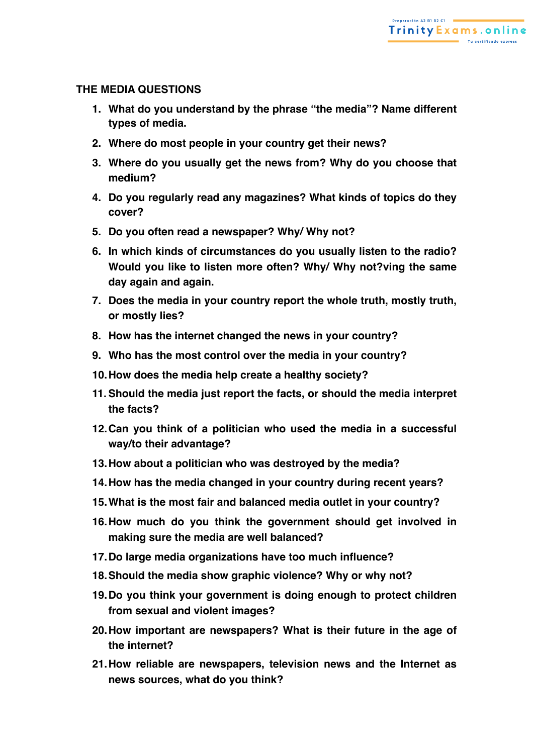## **THE MEDIA QUESTIONS**

- **1. What do you understand by the phrase "the media"? Name different types of media.**
- **2. Where do most people in your country get their news?**
- **3. Where do you usually get the news from? Why do you choose that medium?**
- **4. Do you regularly read any magazines? What kinds of topics do they cover?**
- **5. Do you often read a newspaper? Why/ Why not?**
- **6. In which kinds of circumstances do you usually listen to the radio? Would you like to listen more often? Why/ Why not?ving the same day again and again.**
- **7. Does the media in your country report the whole truth, mostly truth, or mostly lies?**
- **8. How has the internet changed the news in your country?**
- **9. Who has the most control over the media in your country?**
- **10.How does the media help create a healthy society?**
- **11.Should the media just report the facts, or should the media interpret the facts?**
- **12.Can you think of a politician who used the media in a successful way/to their advantage?**
- **13.How about a politician who was destroyed by the media?**
- **14.How has the media changed in your country during recent years?**
- **15.What is the most fair and balanced media outlet in your country?**
- **16.How much do you think the government should get involved in making sure the media are well balanced?**
- **17.Do large media organizations have too much influence?**
- **18.Should the media show graphic violence? Why or why not?**
- **19.Do you think your government is doing enough to protect children from sexual and violent images?**
- **20.How important are newspapers? What is their future in the age of the internet?**
- **21.How reliable are newspapers, television news and the Internet as news sources, what do you think?**